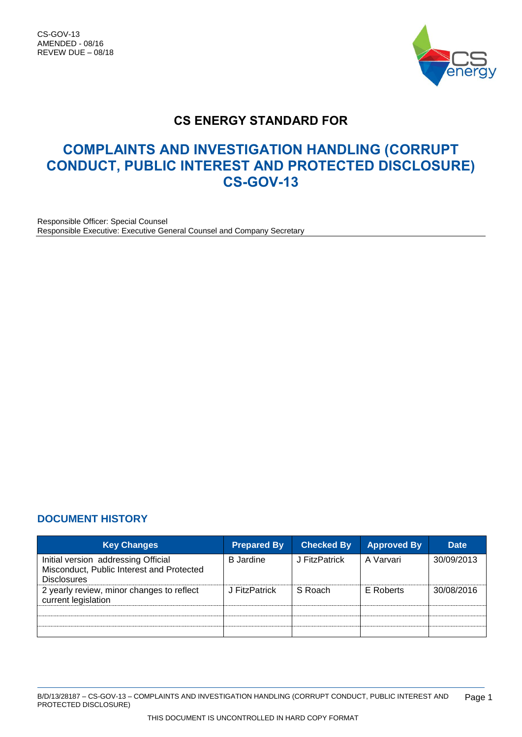CS-GOV-13 AMENDED - 08/16 REVEW DUE – 08/18



# **CS ENERGY STANDARD FOR**

# **COMPLAINTS AND INVESTIGATION HANDLING (CORRUPT CONDUCT, PUBLIC INTEREST AND PROTECTED DISCLOSURE) CS-GOV-13**

Responsible Officer: Special Counsel Responsible Executive: Executive General Counsel and Company Secretary

## <span id="page-0-0"></span>**DOCUMENT HISTORY**

| <b>Key Changes</b>                                                                                     | <b>Prepared By</b> | <b>Checked By</b> | <b>Approved By</b> | <b>Date</b> |
|--------------------------------------------------------------------------------------------------------|--------------------|-------------------|--------------------|-------------|
| Initial version addressing Official<br>Misconduct, Public Interest and Protected<br><b>Disclosures</b> | <b>B</b> Jardine   | J FitzPatrick     | A Varvari          | 30/09/2013  |
| 2 yearly review, minor changes to reflect<br>current legislation                                       | J FitzPatrick      | S Roach           | E Roberts          | 30/08/2016  |
|                                                                                                        |                    |                   |                    |             |
|                                                                                                        |                    |                   |                    |             |
|                                                                                                        |                    |                   |                    |             |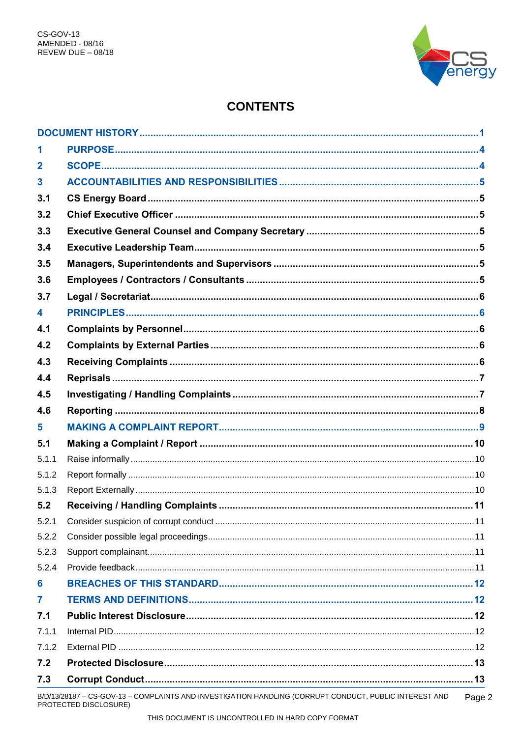

# **CONTENTS**

| 1                       |                                                                                                        |      |
|-------------------------|--------------------------------------------------------------------------------------------------------|------|
| $\overline{\mathbf{2}}$ |                                                                                                        |      |
| $\mathbf 3$             |                                                                                                        |      |
| 3.1                     |                                                                                                        |      |
| 3.2                     |                                                                                                        |      |
| 3.3                     |                                                                                                        |      |
| 3.4                     |                                                                                                        |      |
| 3.5                     |                                                                                                        |      |
| 3.6                     |                                                                                                        |      |
| 3.7                     |                                                                                                        |      |
| 4                       |                                                                                                        |      |
| 4.1                     |                                                                                                        |      |
| 4.2                     |                                                                                                        |      |
| 4.3                     |                                                                                                        |      |
| 4.4                     |                                                                                                        |      |
| 4.5                     |                                                                                                        |      |
| 4.6                     |                                                                                                        |      |
| 5                       |                                                                                                        |      |
| 5.1                     |                                                                                                        |      |
| 5.1.1                   |                                                                                                        |      |
| 5.1.2                   |                                                                                                        |      |
| 5.1.3                   |                                                                                                        |      |
| 5.2                     |                                                                                                        |      |
| 5.2.1                   |                                                                                                        |      |
| 5.2.2                   |                                                                                                        |      |
| 5.2.3                   |                                                                                                        |      |
| 5.2.4                   |                                                                                                        |      |
| 6                       |                                                                                                        |      |
| 7                       |                                                                                                        |      |
| 7.1                     |                                                                                                        |      |
| 7.1.1                   |                                                                                                        |      |
| 7.1.2                   |                                                                                                        |      |
| 7.2                     |                                                                                                        |      |
| 7.3                     |                                                                                                        |      |
|                         | B/D/13/28187 - CS-GOV-13 - COMPLAINTS AND INVESTIGATION HANDLING (CORRUPT CONDUCT, PUBLIC INTEREST AND | Page |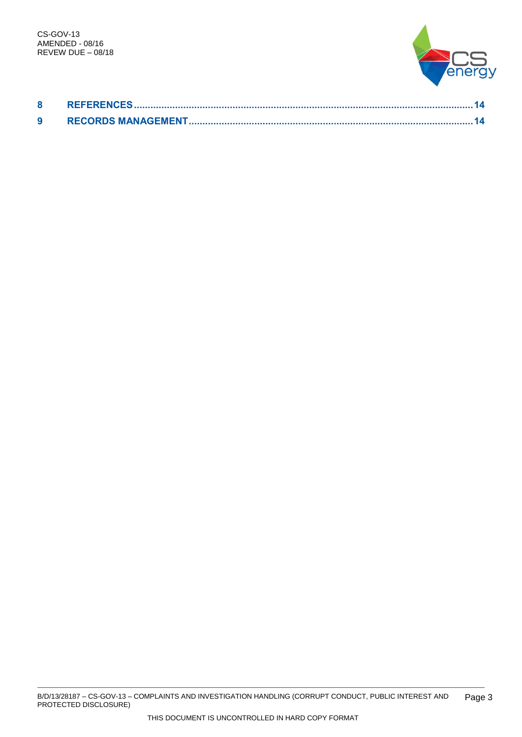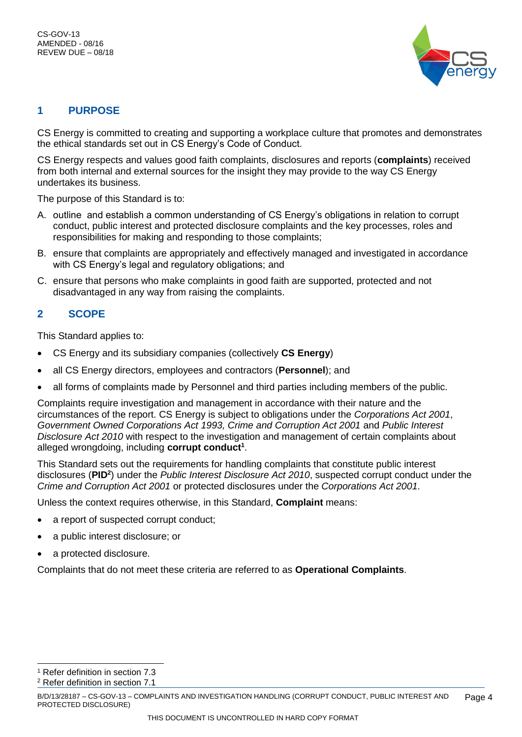

## <span id="page-3-0"></span>**1 PURPOSE**

CS Energy is committed to creating and supporting a workplace culture that promotes and demonstrates the ethical standards set out in CS Energy's Code of Conduct.

CS Energy respects and values good faith complaints, disclosures and reports (**complaints**) received from both internal and external sources for the insight they may provide to the way CS Energy undertakes its business.

The purpose of this Standard is to:

- A. outline and establish a common understanding of CS Energy's obligations in relation to corrupt conduct, public interest and protected disclosure complaints and the key processes, roles and responsibilities for making and responding to those complaints;
- B. ensure that complaints are appropriately and effectively managed and investigated in accordance with CS Energy's legal and regulatory obligations; and
- C. ensure that persons who make complaints in good faith are supported, protected and not disadvantaged in any way from raising the complaints.

## <span id="page-3-1"></span>**2 SCOPE**

This Standard applies to:

- CS Energy and its subsidiary companies (collectively **CS Energy**)
- all CS Energy directors, employees and contractors (**Personnel**); and
- all forms of complaints made by Personnel and third parties including members of the public.

Complaints require investigation and management in accordance with their nature and the circumstances of the report. CS Energy is subject to obligations under the *Corporations Act 2001*, *Government Owned Corporations Act 1993, Crime and Corruption Act 2001* and *Public Interest Disclosure Act 2010* with respect to the investigation and management of certain complaints about alleged wrongdoing, including **corrupt conduct<sup>1</sup>** .

This Standard sets out the requirements for handling complaints that constitute public interest disclosures (**PID<sup>2</sup>** ) under the *Public Interest Disclosure Act 2010*, suspected corrupt conduct under the *Crime and Corruption Act 2001* or protected disclosures under the *Corporations Act 2001*.

Unless the context requires otherwise, in this Standard, **Complaint** means:

- a report of suspected corrupt conduct;
- a public interest disclosure; or
- a protected disclosure.

Complaints that do not meet these criteria are referred to as **Operational Complaints**.

 $\overline{a}$ 

<sup>2</sup> Refer definition in section 7.1

<sup>1</sup> Refer definition in section 7.3

B/D/13/28187 – CS-GOV-13 – COMPLAINTS AND INVESTIGATION HANDLING (CORRUPT CONDUCT, PUBLIC INTEREST AND PROTECTED DISCLOSURE) Page 4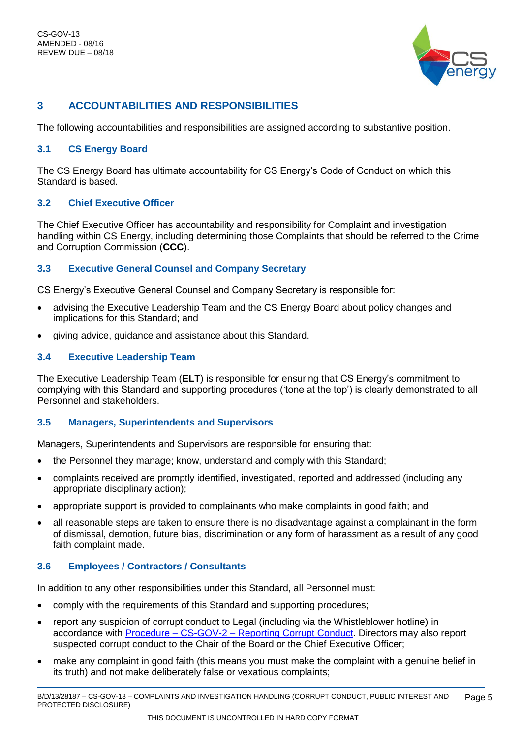

# <span id="page-4-0"></span>**3 ACCOUNTABILITIES AND RESPONSIBILITIES**

The following accountabilities and responsibilities are assigned according to substantive position.

## <span id="page-4-1"></span>**3.1 CS Energy Board**

The CS Energy Board has ultimate accountability for CS Energy's Code of Conduct on which this Standard is based.

## <span id="page-4-2"></span>**3.2 Chief Executive Officer**

The Chief Executive Officer has accountability and responsibility for Complaint and investigation handling within CS Energy, including determining those Complaints that should be referred to the Crime and Corruption Commission (**CCC**).

## <span id="page-4-3"></span>**3.3 Executive General Counsel and Company Secretary**

CS Energy's Executive General Counsel and Company Secretary is responsible for:

- advising the Executive Leadership Team and the CS Energy Board about policy changes and implications for this Standard; and
- giving advice, guidance and assistance about this Standard.

## <span id="page-4-4"></span>**3.4 Executive Leadership Team**

The Executive Leadership Team (**ELT**) is responsible for ensuring that CS Energy's commitment to complying with this Standard and supporting procedures ('tone at the top') is clearly demonstrated to all Personnel and stakeholders.

## <span id="page-4-5"></span>**3.5 Managers, Superintendents and Supervisors**

Managers, Superintendents and Supervisors are responsible for ensuring that:

- the Personnel they manage; know, understand and comply with this Standard;
- complaints received are promptly identified, investigated, reported and addressed (including any appropriate disciplinary action);
- appropriate support is provided to complainants who make complaints in good faith; and
- all reasonable steps are taken to ensure there is no disadvantage against a complainant in the form of dismissal, demotion, future bias, discrimination or any form of harassment as a result of any good faith complaint made.

## <span id="page-4-6"></span>**3.6 Employees / Contractors / Consultants**

In addition to any other responsibilities under this Standard, all Personnel must:

- comply with the requirements of this Standard and supporting procedures;
- report any suspicion of corrupt conduct to Legal (including via the Whistleblower hotline) in accordance with Procedure – CS-GOV-2 – [Reporting Corrupt Conduct.](trim://B%2fD%2f12%2f67752/?db=10&view) Directors may also report suspected corrupt conduct to the Chair of the Board or the Chief Executive Officer;
- make any complaint in good faith (this means you must make the complaint with a genuine belief in its truth) and not make deliberately false or vexatious complaints;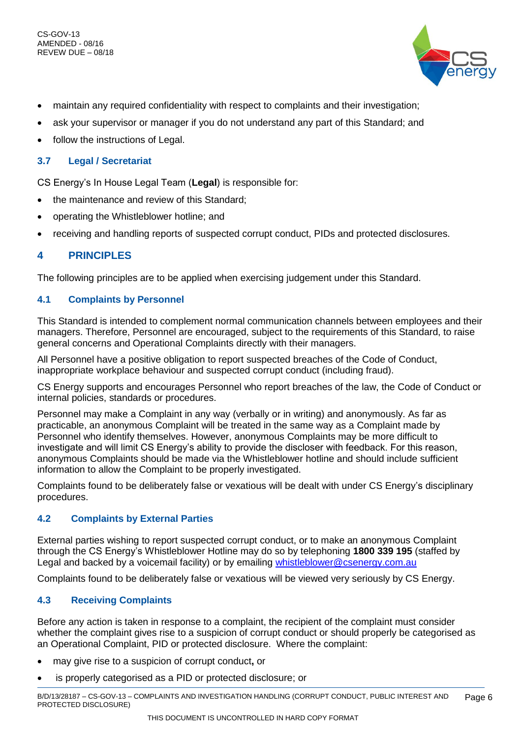CS-GOV-13 AMENDED - 08/16 REVEW DUE – 08/18



- maintain any required confidentiality with respect to complaints and their investigation;
- ask your supervisor or manager if you do not understand any part of this Standard; and
- follow the instructions of Legal.

## <span id="page-5-0"></span>**3.7 Legal / Secretariat**

CS Energy's In House Legal Team (**Legal**) is responsible for:

- the maintenance and review of this Standard;
- operating the Whistleblower hotline; and
- receiving and handling reports of suspected corrupt conduct, PIDs and protected disclosures.

## <span id="page-5-1"></span>**4 PRINCIPLES**

The following principles are to be applied when exercising judgement under this Standard.

## <span id="page-5-2"></span>**4.1 Complaints by Personnel**

This Standard is intended to complement normal communication channels between employees and their managers. Therefore, Personnel are encouraged, subject to the requirements of this Standard, to raise general concerns and Operational Complaints directly with their managers.

All Personnel have a positive obligation to report suspected breaches of the Code of Conduct, inappropriate workplace behaviour and suspected corrupt conduct (including fraud).

CS Energy supports and encourages Personnel who report breaches of the law, the Code of Conduct or internal policies, standards or procedures.

Personnel may make a Complaint in any way (verbally or in writing) and anonymously. As far as practicable, an anonymous Complaint will be treated in the same way as a Complaint made by Personnel who identify themselves. However, anonymous Complaints may be more difficult to investigate and will limit CS Energy's ability to provide the discloser with feedback. For this reason, anonymous Complaints should be made via the Whistleblower hotline and should include sufficient information to allow the Complaint to be properly investigated.

Complaints found to be deliberately false or vexatious will be dealt with under CS Energy's disciplinary procedures.

## <span id="page-5-3"></span>**4.2 Complaints by External Parties**

External parties wishing to report suspected corrupt conduct, or to make an anonymous Complaint through the CS Energy's Whistleblower Hotline may do so by telephoning **1800 339 195** (staffed by Legal and backed by a voicemail facility) or by emailing [whistleblower@csenergy.com.au](mailto:whistleblower@csenergy.com.au) 

Complaints found to be deliberately false or vexatious will be viewed very seriously by CS Energy.

## <span id="page-5-4"></span>**4.3 Receiving Complaints**

Before any action is taken in response to a complaint, the recipient of the complaint must consider whether the complaint gives rise to a suspicion of corrupt conduct or should properly be categorised as an Operational Complaint, PID or protected disclosure. Where the complaint:

- may give rise to a suspicion of corrupt conduct**,** or
- is properly categorised as a PID or protected disclosure; or

B/D/13/28187 – CS-GOV-13 – COMPLAINTS AND INVESTIGATION HANDLING (CORRUPT CONDUCT, PUBLIC INTEREST AND PROTECTED DISCLOSURE) Page 6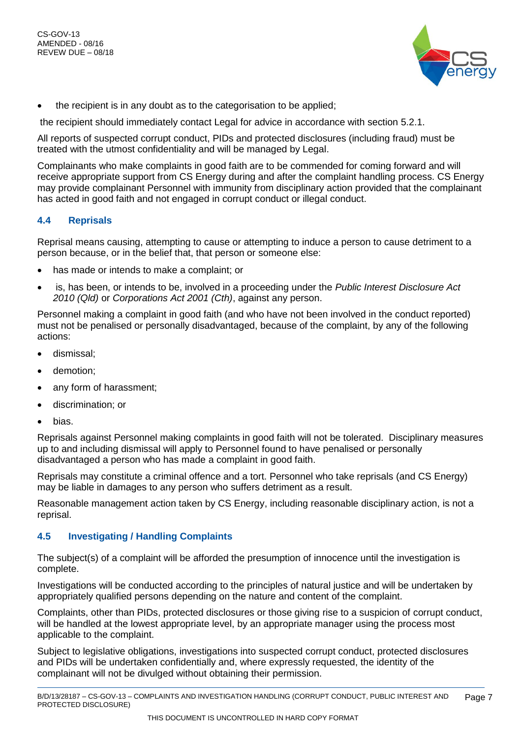

• the recipient is in any doubt as to the categorisation to be applied;

the recipient should immediately contact Legal for advice in accordance with section 5.2.1.

All reports of suspected corrupt conduct, PIDs and protected disclosures (including fraud) must be treated with the utmost confidentiality and will be managed by Legal.

Complainants who make complaints in good faith are to be commended for coming forward and will receive appropriate support from CS Energy during and after the complaint handling process. CS Energy may provide complainant Personnel with immunity from disciplinary action provided that the complainant has acted in good faith and not engaged in corrupt conduct or illegal conduct.

#### <span id="page-6-0"></span>**4.4 Reprisals**

Reprisal means causing, attempting to cause or attempting to induce a person to cause detriment to a person because, or in the belief that, that person or someone else:

- has made or intends to make a complaint; or
- is, has been, or intends to be, involved in a proceeding under the *Public Interest Disclosure Act 2010 (Qld)* or *Corporations Act 2001 (Cth)*, against any person.

Personnel making a complaint in good faith (and who have not been involved in the conduct reported) must not be penalised or personally disadvantaged, because of the complaint, by any of the following actions:

- dismissal;
- demotion:
- any form of harassment;
- discrimination; or
- bias.

Reprisals against Personnel making complaints in good faith will not be tolerated. Disciplinary measures up to and including dismissal will apply to Personnel found to have penalised or personally disadvantaged a person who has made a complaint in good faith.

Reprisals may constitute a criminal offence and a tort. Personnel who take reprisals (and CS Energy) may be liable in damages to any person who suffers detriment as a result.

Reasonable management action taken by CS Energy, including reasonable disciplinary action, is not a reprisal.

## <span id="page-6-1"></span>**4.5 Investigating / Handling Complaints**

The subject(s) of a complaint will be afforded the presumption of innocence until the investigation is complete.

Investigations will be conducted according to the principles of natural justice and will be undertaken by appropriately qualified persons depending on the nature and content of the complaint.

Complaints, other than PIDs, protected disclosures or those giving rise to a suspicion of corrupt conduct, will be handled at the lowest appropriate level, by an appropriate manager using the process most applicable to the complaint.

Subject to legislative obligations, investigations into suspected corrupt conduct, protected disclosures and PIDs will be undertaken confidentially and, where expressly requested, the identity of the complainant will not be divulged without obtaining their permission.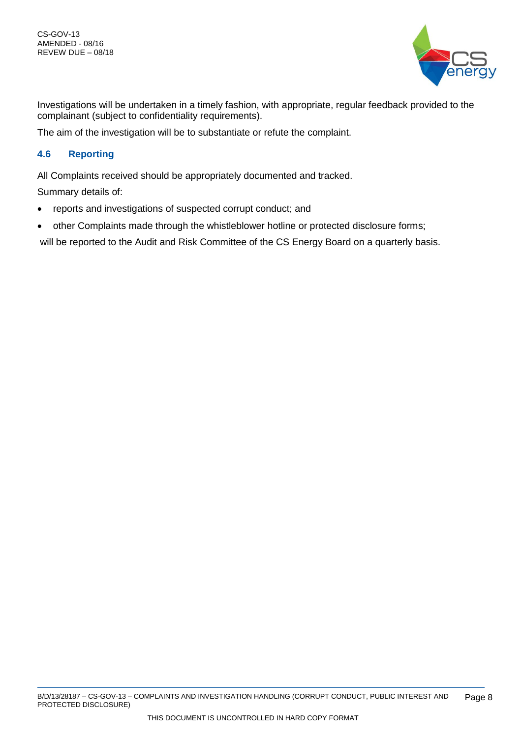

Investigations will be undertaken in a timely fashion, with appropriate, regular feedback provided to the complainant (subject to confidentiality requirements).

The aim of the investigation will be to substantiate or refute the complaint.

## <span id="page-7-0"></span>**4.6 Reporting**

All Complaints received should be appropriately documented and tracked.

Summary details of:

- reports and investigations of suspected corrupt conduct; and
- other Complaints made through the whistleblower hotline or protected disclosure forms;

will be reported to the Audit and Risk Committee of the CS Energy Board on a quarterly basis.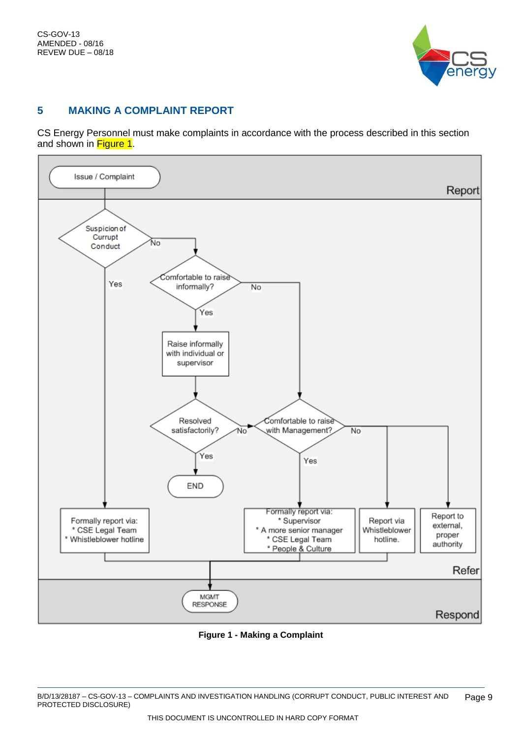

## <span id="page-8-0"></span>**5 MAKING A COMPLAINT REPORT**

CS Energy Personnel must make complaints in accordance with the process described in this section and shown in [Figure 1.](#page-8-1)



<span id="page-8-1"></span>**Figure 1 - Making a Complaint**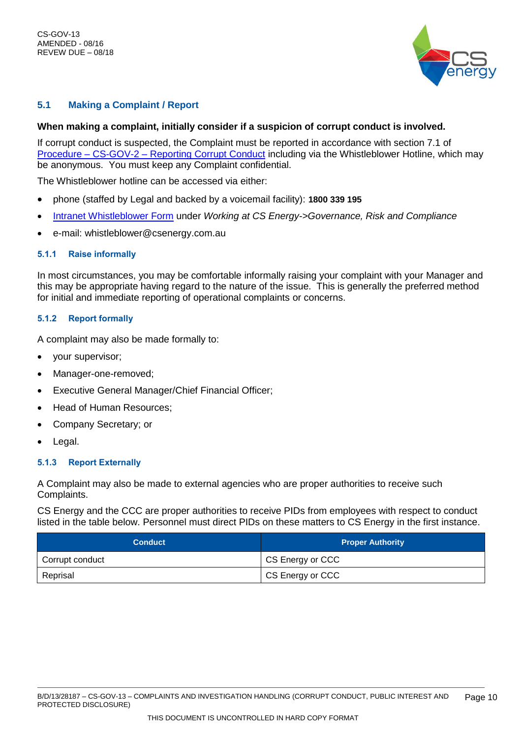

## <span id="page-9-0"></span>**5.1 Making a Complaint / Report**

#### **When making a complaint, initially consider if a suspicion of corrupt conduct is involved.**

If corrupt conduct is suspected, the Complaint must be reported in accordance with section 7.1 of Procedure – CS-GOV-2 – [Reporting Corrupt Conduct](trim://B%2fD%2f12%2f67752/?db=10&view) including via the Whistleblower Hotline, which may be anonymous. You must keep any Complaint confidential.

The Whistleblower hotline can be accessed via either:

- phone (staffed by Legal and backed by a voicemail facility): **1800 339 195**
- [Intranet Whistleblower Form](http://csnet/Working-at-CS-Energy/Governance--risk-and-compliance/Fraud-control-and-whistleblower-reporting/Whistleblower-form) under *Working at CS Energy->Governance, Risk and Compliance*
- e-mail: whistleblower@csenergy.com.au

#### <span id="page-9-1"></span>**5.1.1 Raise informally**

In most circumstances, you may be comfortable informally raising your complaint with your Manager and this may be appropriate having regard to the nature of the issue. This is generally the preferred method for initial and immediate reporting of operational complaints or concerns.

#### <span id="page-9-2"></span>**5.1.2 Report formally**

A complaint may also be made formally to:

- your supervisor;
- Manager-one-removed:
- Executive General Manager/Chief Financial Officer;
- Head of Human Resources;
- Company Secretary; or
- Legal.

#### <span id="page-9-3"></span>**5.1.3 Report Externally**

A Complaint may also be made to external agencies who are proper authorities to receive such Complaints.

CS Energy and the CCC are proper authorities to receive PIDs from employees with respect to conduct listed in the table below. Personnel must direct PIDs on these matters to CS Energy in the first instance.

| <b>Conduct</b>  | <b>Proper Authority</b> |
|-----------------|-------------------------|
| Corrupt conduct | CS Energy or CCC        |
| Reprisal        | CS Energy or CCC        |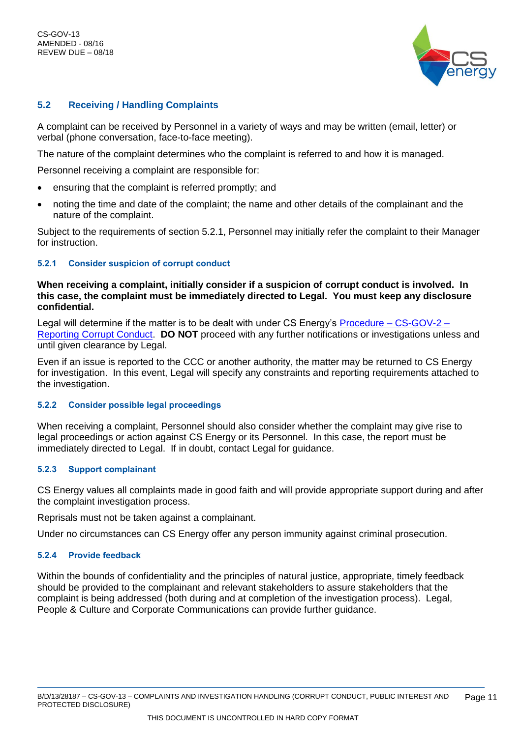CS-GOV-13 AMENDED - 08/16 REVEW DUE – 08/18



## <span id="page-10-0"></span>**5.2 Receiving / Handling Complaints**

A complaint can be received by Personnel in a variety of ways and may be written (email, letter) or verbal (phone conversation, face-to-face meeting).

The nature of the complaint determines who the complaint is referred to and how it is managed.

Personnel receiving a complaint are responsible for:

- ensuring that the complaint is referred promptly; and
- noting the time and date of the complaint; the name and other details of the complainant and the nature of the complaint.

Subject to the requirements of section 5.2.1, Personnel may initially refer the complaint to their Manager for instruction.

#### <span id="page-10-1"></span>**5.2.1 Consider suspicion of corrupt conduct**

#### **When receiving a complaint, initially consider if a suspicion of corrupt conduct is involved. In this case, the complaint must be immediately directed to Legal. You must keep any disclosure confidential.**

Legal will determine if the matter is to be dealt with under CS Energy's [Procedure –](trim://B%2fD%2f12%2f67752/?db=10&view) CS-GOV-2 – [Reporting Corrupt Conduct.](trim://B%2fD%2f12%2f67752/?db=10&view) **DO NOT** proceed with any further notifications or investigations unless and until given clearance by Legal.

Even if an issue is reported to the CCC or another authority, the matter may be returned to CS Energy for investigation. In this event, Legal will specify any constraints and reporting requirements attached to the investigation.

#### <span id="page-10-2"></span>**5.2.2 Consider possible legal proceedings**

When receiving a complaint, Personnel should also consider whether the complaint may give rise to legal proceedings or action against CS Energy or its Personnel. In this case, the report must be immediately directed to Legal. If in doubt, contact Legal for guidance.

#### <span id="page-10-3"></span>**5.2.3 Support complainant**

CS Energy values all complaints made in good faith and will provide appropriate support during and after the complaint investigation process.

Reprisals must not be taken against a complainant.

Under no circumstances can CS Energy offer any person immunity against criminal prosecution.

#### <span id="page-10-4"></span>**5.2.4 Provide feedback**

Within the bounds of confidentiality and the principles of natural justice, appropriate, timely feedback should be provided to the complainant and relevant stakeholders to assure stakeholders that the complaint is being addressed (both during and at completion of the investigation process). Legal, People & Culture and Corporate Communications can provide further guidance.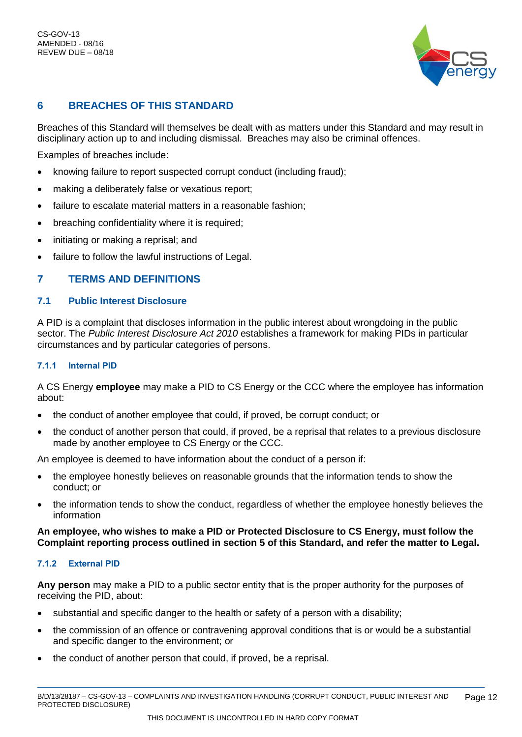

# <span id="page-11-0"></span>**6 BREACHES OF THIS STANDARD**

Breaches of this Standard will themselves be dealt with as matters under this Standard and may result in disciplinary action up to and including dismissal. Breaches may also be criminal offences.

Examples of breaches include:

- knowing failure to report suspected corrupt conduct (including fraud);
- making a deliberately false or vexatious report;
- failure to escalate material matters in a reasonable fashion;
- breaching confidentiality where it is required;
- initiating or making a reprisal; and
- failure to follow the lawful instructions of Legal.

## <span id="page-11-1"></span>**7 TERMS AND DEFINITIONS**

## <span id="page-11-2"></span>**7.1 Public Interest Disclosure**

A PID is a complaint that discloses information in the public interest about wrongdoing in the public sector. The *Public Interest Disclosure Act 2010* establishes a framework for making PIDs in particular circumstances and by particular categories of persons.

## <span id="page-11-3"></span>**7.1.1 Internal PID**

A CS Energy **employee** may make a PID to CS Energy or the CCC where the employee has information about:

- the conduct of another employee that could, if proved, be corrupt conduct; or
- the conduct of another person that could, if proved, be a reprisal that relates to a previous disclosure made by another employee to CS Energy or the CCC.

An employee is deemed to have information about the conduct of a person if:

- the employee honestly believes on reasonable grounds that the information tends to show the conduct; or
- the information tends to show the conduct, regardless of whether the employee honestly believes the information

**An employee, who wishes to make a PID or Protected Disclosure to CS Energy, must follow the Complaint reporting process outlined in section 5 of this Standard, and refer the matter to Legal.**

## <span id="page-11-4"></span>**7.1.2 External PID**

**Any person** may make a PID to a public sector entity that is the proper authority for the purposes of receiving the PID, about:

- substantial and specific danger to the health or safety of a person with a disability;
- the commission of an offence or contravening approval conditions that is or would be a substantial and specific danger to the environment; or
- the conduct of another person that could, if proved, be a reprisal.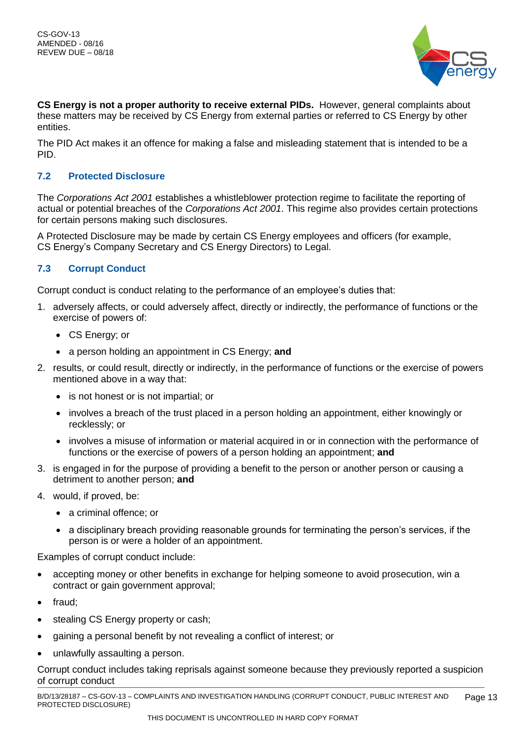

**CS Energy is not a proper authority to receive external PIDs.** However, general complaints about these matters may be received by CS Energy from external parties or referred to CS Energy by other entities.

The PID Act makes it an offence for making a false and misleading statement that is intended to be a PID.

## <span id="page-12-0"></span>**7.2 Protected Disclosure**

The *Corporations Act 2001* establishes a whistleblower protection regime to facilitate the reporting of actual or potential breaches of the *Corporations Act 2001*. This regime also provides certain protections for certain persons making such disclosures.

A Protected Disclosure may be made by certain CS Energy employees and officers (for example, CS Energy's Company Secretary and CS Energy Directors) to Legal.

## <span id="page-12-1"></span>**7.3 Corrupt Conduct**

Corrupt conduct is conduct relating to the performance of an employee's duties that:

- 1. adversely affects, or could adversely affect, directly or indirectly, the performance of functions or the exercise of powers of:
	- CS Energy; or
	- a person holding an appointment in CS Energy; **and**
- 2. results, or could result, directly or indirectly, in the performance of functions or the exercise of powers mentioned above in a way that:
	- is not honest or is not impartial; or
	- involves a breach of the trust placed in a person holding an appointment, either knowingly or recklessly; or
	- involves a misuse of information or material acquired in or in connection with the performance of functions or the exercise of powers of a person holding an appointment; **and**
- 3. is engaged in for the purpose of providing a benefit to the person or another person or causing a detriment to another person; **and**
- 4. would, if proved, be:
	- a criminal offence; or
	- a disciplinary breach providing reasonable grounds for terminating the person's services, if the person is or were a holder of an appointment.

Examples of corrupt conduct include:

- accepting money or other benefits in exchange for helping someone to avoid prosecution, win a contract or gain government approval;
- fraud;
- stealing CS Energy property or cash;
- gaining a personal benefit by not revealing a conflict of interest; or
- unlawfully assaulting a person.

Corrupt conduct includes taking reprisals against someone because they previously reported a suspicion of corrupt conduct